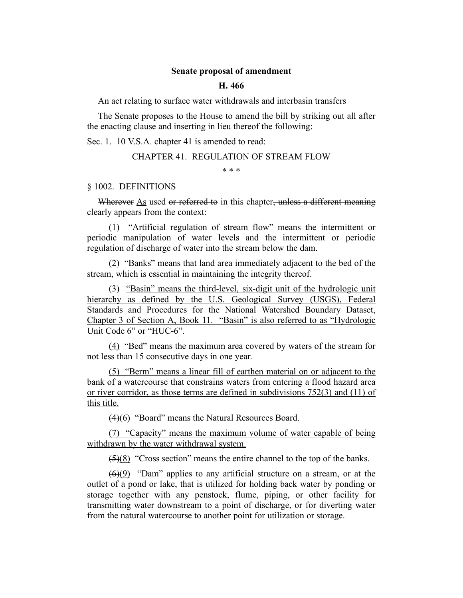## **Senate proposal of amendment**

## **H. 466**

An act relating to surface water withdrawals and interbasin transfers

The Senate proposes to the House to amend the bill by striking out all after the enacting clause and inserting in lieu thereof the following:

Sec. 1. 10 V.S.A. chapter 41 is amended to read:

#### CHAPTER 41. REGULATION OF STREAM FLOW

\* \* \*

## § 1002. DEFINITIONS

Wherever As used or referred to in this chapter, unless a different meaning clearly appears from the context:

(1) "Artificial regulation of stream flow" means the intermittent or periodic manipulation of water levels and the intermittent or periodic regulation of discharge of water into the stream below the dam.

(2) "Banks" means that land area immediately adjacent to the bed of the stream, which is essential in maintaining the integrity thereof.

(3) "Basin" means the third-level, six-digit unit of the hydrologic unit hierarchy as defined by the U.S. Geological Survey (USGS), Federal Standards and Procedures for the National Watershed Boundary Dataset, Chapter 3 of Section A, Book 11. "Basin" is also referred to as "Hydrologic Unit Code 6" or "HUC-6".

(4) "Bed" means the maximum area covered by waters of the stream for not less than 15 consecutive days in one year.

(5) "Berm" means a linear fill of earthen material on or adjacent to the bank of a watercourse that constrains waters from entering a flood hazard area or river corridor, as those terms are defined in subdivisions 752(3) and (11) of this title.

(4)(6) "Board" means the Natural Resources Board.

(7) "Capacity" means the maximum volume of water capable of being withdrawn by the water withdrawal system.

(5)(8) "Cross section" means the entire channel to the top of the banks.

 $(6)(9)$  "Dam" applies to any artificial structure on a stream, or at the outlet of a pond or lake, that is utilized for holding back water by ponding or storage together with any penstock, flume, piping, or other facility for transmitting water downstream to a point of discharge, or for diverting water from the natural watercourse to another point for utilization or storage.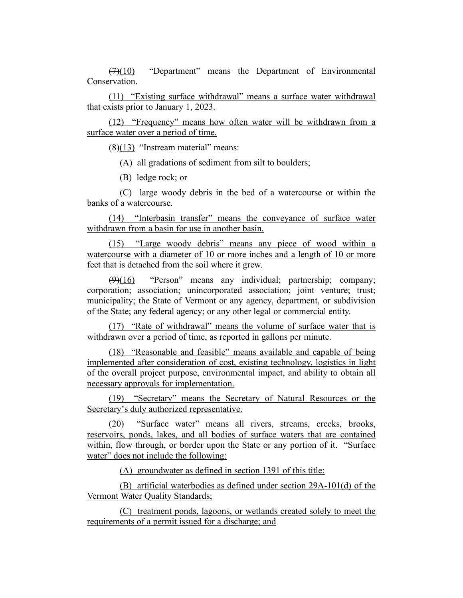(7)(10) "Department" means the Department of Environmental Conservation.

(11) "Existing surface withdrawal" means a surface water withdrawal that exists prior to January 1, 2023.

(12) "Frequency" means how often water will be withdrawn from a surface water over a period of time.

(8)(13) "Instream material" means:

(A) all gradations of sediment from silt to boulders;

(B) ledge rock; or

(C) large woody debris in the bed of a watercourse or within the banks of a watercourse.

(14) "Interbasin transfer" means the conveyance of surface water withdrawn from a basin for use in another basin.

(15) "Large woody debris" means any piece of wood within a watercourse with a diameter of 10 or more inches and a length of 10 or more feet that is detached from the soil where it grew.

(9)(16) "Person" means any individual; partnership; company; corporation; association; unincorporated association; joint venture; trust; municipality; the State of Vermont or any agency, department, or subdivision of the State; any federal agency; or any other legal or commercial entity.

(17) "Rate of withdrawal" means the volume of surface water that is withdrawn over a period of time, as reported in gallons per minute.

(18) "Reasonable and feasible" means available and capable of being implemented after consideration of cost, existing technology, logistics in light of the overall project purpose, environmental impact, and ability to obtain all necessary approvals for implementation.

(19) "Secretary" means the Secretary of Natural Resources or the Secretary's duly authorized representative.

(20) "Surface water" means all rivers, streams, creeks, brooks, reservoirs, ponds, lakes, and all bodies of surface waters that are contained within, flow through, or border upon the State or any portion of it. "Surface water" does not include the following:

(A) groundwater as defined in section 1391 of this title;

(B) artificial waterbodies as defined under section 29A-101(d) of the Vermont Water Quality Standards;

(C) treatment ponds, lagoons, or wetlands created solely to meet the requirements of a permit issued for a discharge; and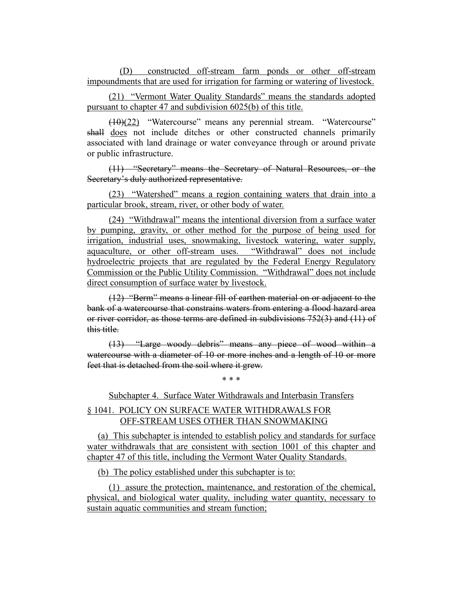(D) constructed off-stream farm ponds or other off-stream impoundments that are used for irrigation for farming or watering of livestock.

(21) "Vermont Water Quality Standards" means the standards adopted pursuant to chapter 47 and subdivision 6025(b) of this title.

(10)(22) "Watercourse" means any perennial stream. "Watercourse" shall does not include ditches or other constructed channels primarily associated with land drainage or water conveyance through or around private or public infrastructure.

(11) "Secretary" means the Secretary of Natural Resources, or the Secretary's duly authorized representative.

(23) "Watershed" means a region containing waters that drain into a particular brook, stream, river, or other body of water.

(24) "Withdrawal" means the intentional diversion from a surface water by pumping, gravity, or other method for the purpose of being used for irrigation, industrial uses, snowmaking, livestock watering, water supply, aquaculture, or other off-stream uses. "Withdrawal" does not include hydroelectric projects that are regulated by the Federal Energy Regulatory Commission or the Public Utility Commission. "Withdrawal" does not include direct consumption of surface water by livestock.

(12) "Berm" means a linear fill of earthen material on or adjacent to the bank of a watercourse that constrains waters from entering a flood hazard area or river corridor, as those terms are defined in subdivisions 752(3) and (11) of this title.

(13) "Large woody debris" means any piece of wood within a watercourse with a diameter of 10 or more inches and a length of 10 or more feet that is detached from the soil where it grew.

\* \* \*

Subchapter 4. Surface Water Withdrawals and Interbasin Transfers

## § 1041. POLICY ON SURFACE WATER WITHDRAWALS FOR OFF-STREAM USES OTHER THAN SNOWMAKING

(a) This subchapter is intended to establish policy and standards for surface water withdrawals that are consistent with section 1001 of this chapter and chapter 47 of this title, including the Vermont Water Quality Standards.

(b) The policy established under this subchapter is to:

(1) assure the protection, maintenance, and restoration of the chemical, physical, and biological water quality, including water quantity, necessary to sustain aquatic communities and stream function;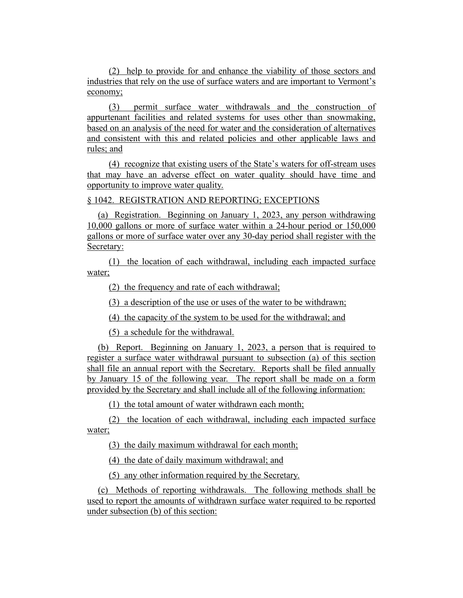(2) help to provide for and enhance the viability of those sectors and industries that rely on the use of surface waters and are important to Vermont's economy;

(3) permit surface water withdrawals and the construction of appurtenant facilities and related systems for uses other than snowmaking, based on an analysis of the need for water and the consideration of alternatives and consistent with this and related policies and other applicable laws and rules; and

(4) recognize that existing users of the State's waters for off-stream uses that may have an adverse effect on water quality should have time and opportunity to improve water quality.

§ 1042. REGISTRATION AND REPORTING; EXCEPTIONS

(a) Registration. Beginning on January 1, 2023, any person withdrawing 10,000 gallons or more of surface water within a 24-hour period or 150,000 gallons or more of surface water over any 30-day period shall register with the Secretary:

(1) the location of each withdrawal, including each impacted surface water;

(2) the frequency and rate of each withdrawal;

(3) a description of the use or uses of the water to be withdrawn;

(4) the capacity of the system to be used for the withdrawal; and

(5) a schedule for the withdrawal.

(b) Report. Beginning on January 1, 2023, a person that is required to register a surface water withdrawal pursuant to subsection (a) of this section shall file an annual report with the Secretary. Reports shall be filed annually by January 15 of the following year. The report shall be made on a form provided by the Secretary and shall include all of the following information:

(1) the total amount of water withdrawn each month;

(2) the location of each withdrawal, including each impacted surface water;

(3) the daily maximum withdrawal for each month;

(4) the date of daily maximum withdrawal; and

(5) any other information required by the Secretary.

(c) Methods of reporting withdrawals. The following methods shall be used to report the amounts of withdrawn surface water required to be reported under subsection (b) of this section: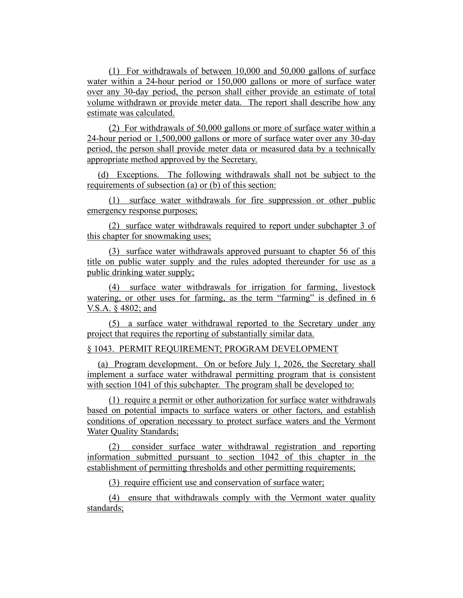(1) For withdrawals of between 10,000 and 50,000 gallons of surface water within a 24-hour period or 150,000 gallons or more of surface water over any 30-day period, the person shall either provide an estimate of total volume withdrawn or provide meter data. The report shall describe how any estimate was calculated.

(2) For withdrawals of 50,000 gallons or more of surface water within a 24-hour period or 1,500,000 gallons or more of surface water over any 30-day period, the person shall provide meter data or measured data by a technically appropriate method approved by the Secretary.

(d) Exceptions. The following withdrawals shall not be subject to the requirements of subsection (a) or (b) of this section:

(1) surface water withdrawals for fire suppression or other public emergency response purposes;

(2) surface water withdrawals required to report under subchapter 3 of this chapter for snowmaking uses;

(3) surface water withdrawals approved pursuant to chapter 56 of this title on public water supply and the rules adopted thereunder for use as a public drinking water supply;

(4) surface water withdrawals for irrigation for farming, livestock watering, or other uses for farming, as the term "farming" is defined in 6 V.S.A. § 4802; and

(5) a surface water withdrawal reported to the Secretary under any project that requires the reporting of substantially similar data.

§ 1043. PERMIT REQUIREMENT; PROGRAM DEVELOPMENT

(a) Program development. On or before July 1, 2026, the Secretary shall implement a surface water withdrawal permitting program that is consistent with section 1041 of this subchapter. The program shall be developed to:

(1) require a permit or other authorization for surface water withdrawals based on potential impacts to surface waters or other factors, and establish conditions of operation necessary to protect surface waters and the Vermont Water Quality Standards;

(2) consider surface water withdrawal registration and reporting information submitted pursuant to section 1042 of this chapter in the establishment of permitting thresholds and other permitting requirements;

(3) require efficient use and conservation of surface water;

(4) ensure that withdrawals comply with the Vermont water quality standards;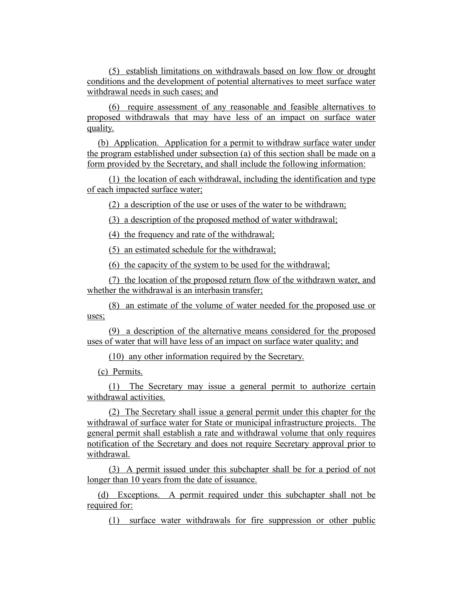(5) establish limitations on withdrawals based on low flow or drought conditions and the development of potential alternatives to meet surface water withdrawal needs in such cases; and

(6) require assessment of any reasonable and feasible alternatives to proposed withdrawals that may have less of an impact on surface water quality.

(b) Application. Application for a permit to withdraw surface water under the program established under subsection (a) of this section shall be made on a form provided by the Secretary, and shall include the following information:

(1) the location of each withdrawal, including the identification and type of each impacted surface water;

(2) a description of the use or uses of the water to be withdrawn;

(3) a description of the proposed method of water withdrawal;

(4) the frequency and rate of the withdrawal;

(5) an estimated schedule for the withdrawal;

(6) the capacity of the system to be used for the withdrawal;

(7) the location of the proposed return flow of the withdrawn water, and whether the withdrawal is an interbasin transfer;

(8) an estimate of the volume of water needed for the proposed use or uses;

(9) a description of the alternative means considered for the proposed uses of water that will have less of an impact on surface water quality; and

(10) any other information required by the Secretary.

(c) Permits.

(1) The Secretary may issue a general permit to authorize certain withdrawal activities.

(2) The Secretary shall issue a general permit under this chapter for the withdrawal of surface water for State or municipal infrastructure projects. The general permit shall establish a rate and withdrawal volume that only requires notification of the Secretary and does not require Secretary approval prior to withdrawal.

(3) A permit issued under this subchapter shall be for a period of not longer than 10 years from the date of issuance.

(d) Exceptions. A permit required under this subchapter shall not be required for:

(1) surface water withdrawals for fire suppression or other public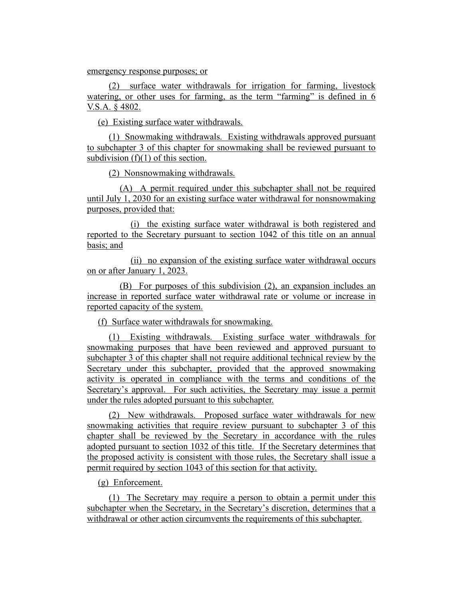#### emergency response purposes; or

(2) surface water withdrawals for irrigation for farming, livestock watering, or other uses for farming, as the term "farming" is defined in 6 V.S.A. § 4802.

(e) Existing surface water withdrawals.

(1) Snowmaking withdrawals. Existing withdrawals approved pursuant to subchapter 3 of this chapter for snowmaking shall be reviewed pursuant to subdivision  $(f)(1)$  of this section.

(2) Nonsnowmaking withdrawals.

(A) A permit required under this subchapter shall not be required until July 1, 2030 for an existing surface water withdrawal for nonsnowmaking purposes, provided that:

(i) the existing surface water withdrawal is both registered and reported to the Secretary pursuant to section 1042 of this title on an annual basis; and

(ii) no expansion of the existing surface water withdrawal occurs on or after January 1, 2023.

(B) For purposes of this subdivision (2), an expansion includes an increase in reported surface water withdrawal rate or volume or increase in reported capacity of the system.

(f) Surface water withdrawals for snowmaking.

(1) Existing withdrawals. Existing surface water withdrawals for snowmaking purposes that have been reviewed and approved pursuant to subchapter 3 of this chapter shall not require additional technical review by the Secretary under this subchapter, provided that the approved snowmaking activity is operated in compliance with the terms and conditions of the Secretary's approval. For such activities, the Secretary may issue a permit under the rules adopted pursuant to this subchapter.

(2) New withdrawals. Proposed surface water withdrawals for new snowmaking activities that require review pursuant to subchapter 3 of this chapter shall be reviewed by the Secretary in accordance with the rules adopted pursuant to section 1032 of this title. If the Secretary determines that the proposed activity is consistent with those rules, the Secretary shall issue a permit required by section 1043 of this section for that activity.

(g) Enforcement.

(1) The Secretary may require a person to obtain a permit under this subchapter when the Secretary, in the Secretary's discretion, determines that a withdrawal or other action circumvents the requirements of this subchapter.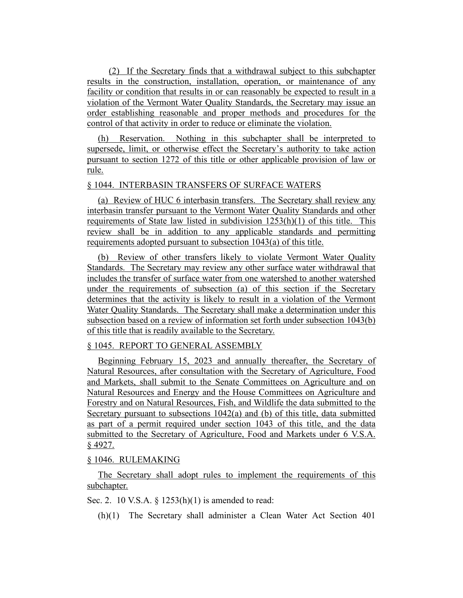(2) If the Secretary finds that a withdrawal subject to this subchapter results in the construction, installation, operation, or maintenance of any facility or condition that results in or can reasonably be expected to result in a violation of the Vermont Water Quality Standards, the Secretary may issue an order establishing reasonable and proper methods and procedures for the control of that activity in order to reduce or eliminate the violation.

(h) Reservation. Nothing in this subchapter shall be interpreted to supersede, limit, or otherwise effect the Secretary's authority to take action pursuant to section 1272 of this title or other applicable provision of law or rule.

#### § 1044. INTERBASIN TRANSFERS OF SURFACE WATERS

(a) Review of HUC 6 interbasin transfers. The Secretary shall review any interbasin transfer pursuant to the Vermont Water Quality Standards and other requirements of State law listed in subdivision  $1253(h)(1)$  of this title. This review shall be in addition to any applicable standards and permitting requirements adopted pursuant to subsection 1043(a) of this title.

(b) Review of other transfers likely to violate Vermont Water Quality Standards. The Secretary may review any other surface water withdrawal that includes the transfer of surface water from one watershed to another watershed under the requirements of subsection (a) of this section if the Secretary determines that the activity is likely to result in a violation of the Vermont Water Quality Standards. The Secretary shall make a determination under this subsection based on a review of information set forth under subsection 1043(b) of this title that is readily available to the Secretary.

### § 1045. REPORT TO GENERAL ASSEMBLY

Beginning February 15, 2023 and annually thereafter, the Secretary of Natural Resources, after consultation with the Secretary of Agriculture, Food and Markets, shall submit to the Senate Committees on Agriculture and on Natural Resources and Energy and the House Committees on Agriculture and Forestry and on Natural Resources, Fish, and Wildlife the data submitted to the Secretary pursuant to subsections 1042(a) and (b) of this title, data submitted as part of a permit required under section 1043 of this title, and the data submitted to the Secretary of Agriculture, Food and Markets under 6 V.S.A. § 4927.

## § 1046. RULEMAKING

The Secretary shall adopt rules to implement the requirements of this subchapter.

Sec. 2. 10 V.S.A. § 1253(h)(1) is amended to read:

(h)(1) The Secretary shall administer a Clean Water Act Section 401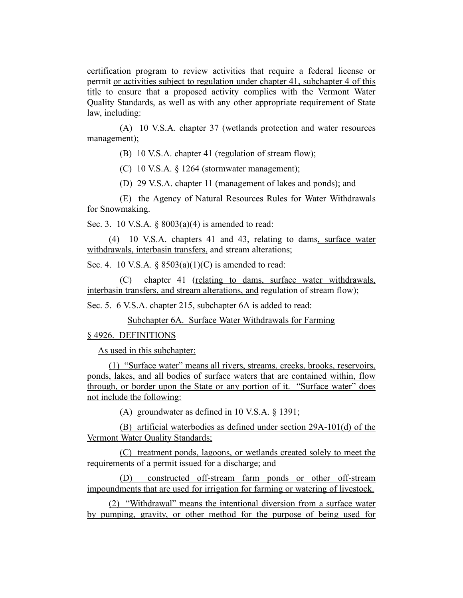certification program to review activities that require a federal license or permit or activities subject to regulation under chapter 41, subchapter 4 of this title to ensure that a proposed activity complies with the Vermont Water Quality Standards, as well as with any other appropriate requirement of State law, including:

(A) 10 V.S.A. chapter 37 (wetlands protection and water resources management);

(B) 10 V.S.A. chapter 41 (regulation of stream flow);

(C) 10 V.S.A. § 1264 (stormwater management);

(D) 29 V.S.A. chapter 11 (management of lakes and ponds); and

(E) the Agency of Natural Resources Rules for Water Withdrawals for Snowmaking.

Sec. 3. 10 V.S.A. § 8003(a)(4) is amended to read:

(4) 10 V.S.A. chapters 41 and 43, relating to dams, surface water withdrawals, interbasin transfers, and stream alterations;

Sec. 4. 10 V.S.A. §  $8503(a)(1)(C)$  is amended to read:

(C) chapter 41 (relating to dams, surface water withdrawals, interbasin transfers, and stream alterations, and regulation of stream flow);

Sec. 5. 6 V.S.A. chapter 215, subchapter 6A is added to read:

Subchapter 6A. Surface Water Withdrawals for Farming

## § 4926. DEFINITIONS

As used in this subchapter:

(1) "Surface water" means all rivers, streams, creeks, brooks, reservoirs, ponds, lakes, and all bodies of surface waters that are contained within, flow through, or border upon the State or any portion of it. "Surface water" does not include the following:

(A) groundwater as defined in 10 V.S.A. § 1391;

(B) artificial waterbodies as defined under section 29A-101(d) of the Vermont Water Quality Standards;

(C) treatment ponds, lagoons, or wetlands created solely to meet the requirements of a permit issued for a discharge; and

(D) constructed off-stream farm ponds or other off-stream impoundments that are used for irrigation for farming or watering of livestock.

(2) "Withdrawal" means the intentional diversion from a surface water by pumping, gravity, or other method for the purpose of being used for